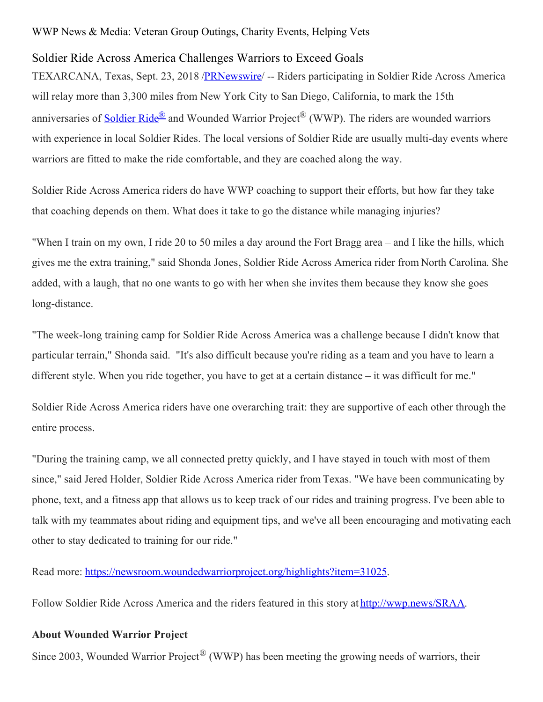## WWP News & Media: Veteran Group Outings, Charity Events, Helping Vets

## Soldier Ride Across America Challenges Warriors to Exceed Goals

TEXARCANA, Texas, Sept. 23, 2018 /**PRNewswire**/ -- Riders participating in Soldier Ride Across America will relay more than 3,300 miles from New York City to San Diego, California, to mark the 15th anniversaries of [Soldier](https://www.woundedwarriorproject.org/programs/soldier-ride) Ride<sup>®</sup> and Wounded Warrior Project<sup>®</sup> (WWP). The riders are wounded warriors with experience in local Soldier Rides. The local versions of Soldier Ride are usually multi-day events where warriors are fitted to make the ride comfortable, and they are coached along the way.

Soldier Ride Across America riders do have WWP coaching to support their efforts, but how far they take that coaching depends on them. What does it take to go the distance while managing injuries?

"When I train on my own, I ride 20 to 50 miles a day around the Fort Bragg area – and I like the hills, which gives me the extra training," said Shonda Jones, Soldier Ride Across America rider from North Carolina. She added, with a laugh, that no one wants to go with her when she invites them because they know she goes long-distance.

"The week-long training camp for Soldier Ride Across America was a challenge because I didn't know that particular terrain," Shonda said. "It's also difficult because you're riding as a team and you have to learn a different style. When you ride together, you have to get at a certain distance – it was difficult for me."

Soldier Ride Across America riders have one overarching trait: they are supportive of each other through the entire process.

"During the training camp, we all connected pretty quickly, and I have stayed in touch with most of them since," said Jered Holder, Soldier Ride Across America rider from Texas. "We have been communicating by phone, text, and a fitness app that allows us to keep track of our rides and training progress. I've been able to talk with my teammates about riding and equipment tips, and we've all been encouraging and motivating each other to stay dedicated to training for our ride."

Read more: [https://newsroom.woundedwarriorproject.org/highlights?item=31025](https://c212.net/c/link/?t=0&l=en&o=2245425-1&h=882009201&u=https%3A%2F%2Fnewsroom.woundedwarriorproject.org%2Fhighlights%3Fitem%3D31025&a=https%3A%2F%2Fnewsroom.woundedwarriorproject.org%2Fhighlights%3Fitem%3D31025).

Follow Soldier Ride Across America and the riders featured in this story at [http://wwp.news/SRAA](https://c212.net/c/link/?t=0&l=en&o=2245425-1&h=476216037&u=http%3A%2F%2Fwwp.news%2FSRAA&a=http%3A%2F%2Fwwp.news%2FSRAA).

## **About Wounded Warrior Project**

Since 2003, Wounded Warrior Project<sup>®</sup> (WWP) has been meeting the growing needs of warriors, their